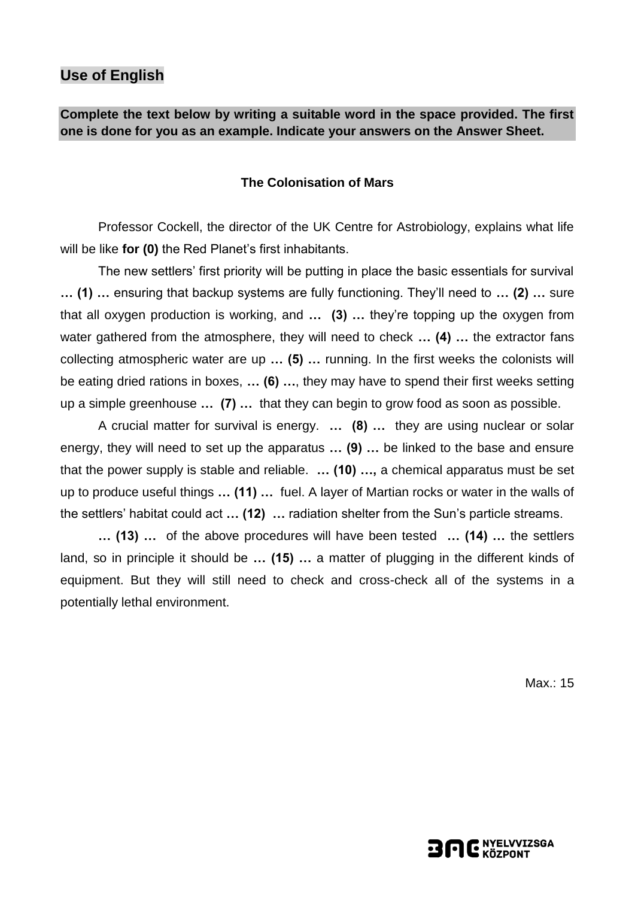## **Use of English**

## **Complete the text below by writing a suitable word in the space provided. The first one is done for you as an example. Indicate your answers on the Answer Sheet.**

#### **The Colonisation of Mars**

Professor Cockell, the director of the UK Centre for Astrobiology, explains what life will be like **for (0)** the Red Planet's first inhabitants.

The new settlers' first priority will be putting in place the basic essentials for survival **… (1) …** ensuring that backup systems are fully functioning. They'll need to **… (2) …** sure that all oxygen production is working, and **… (3) …** they're topping up the oxygen from water gathered from the atmosphere, they will need to check **… (4) …** the extractor fans collecting atmospheric water are up **… (5) …** running. In the first weeks the colonists will be eating dried rations in boxes, **… (6) …**, they may have to spend their first weeks setting up a simple greenhouse **… (7) …** that they can begin to grow food as soon as possible.

A crucial matter for survival is energy. **… (8) …** they are using nuclear or solar energy, they will need to set up the apparatus **… (9) …** be linked to the base and ensure that the power supply is stable and reliable. **… (10) …,** a chemical apparatus must be set up to produce useful things **… (11) …** fuel. A layer of Martian rocks or water in the walls of the settlers' habitat could act **… (12) …** radiation shelter from the Sun's particle streams.

**… (13) …** of the above procedures will have been tested **… (14) …** the settlers land, so in principle it should be **… (15) …** a matter of plugging in the different kinds of equipment. But they will still need to check and cross-check all of the systems in a potentially lethal environment.

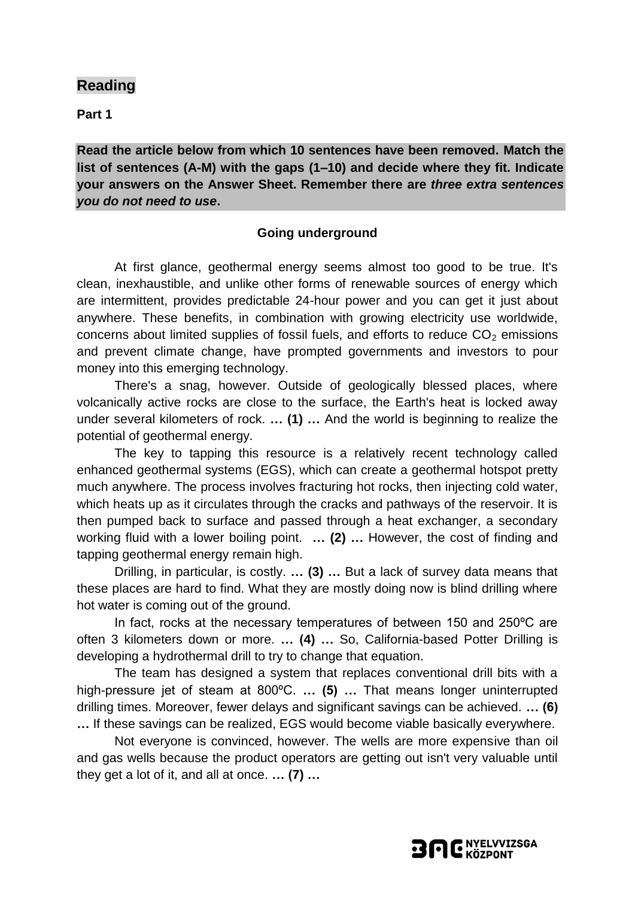**Part 1**

**Read the article below from which 10 sentences have been removed. Match the list of sentences (A-M) with the gaps (1–10) and decide where they fit. Indicate your answers on the Answer Sheet. Remember there are** *three extra sentences you do not need to use***.**

### **Going underground**

At first glance, geothermal energy seems almost too good to be true. It's clean, inexhaustible, and unlike other forms of renewable sources of energy which are intermittent, provides predictable 24-hour power and you can get it just about anywhere. These benefits, in combination with growing electricity use worldwide, concerns about limited supplies of fossil fuels, and efforts to reduce  $CO<sub>2</sub>$  emissions and prevent climate change, have prompted governments and investors to pour money into this emerging technology.

There's a snag, however. Outside of geologically blessed places, where volcanically active rocks are close to the surface, the Earth's heat is locked away under several kilometers of rock. **… (1) …** And the world is beginning to realize the potential of geothermal energy.

The key to tapping this resource is a relatively recent technology called enhanced geothermal systems (EGS), which can create a geothermal hotspot pretty much anywhere. The process involves fracturing hot rocks, then injecting cold water, which heats up as it circulates through the cracks and pathways of the reservoir. It is then pumped back to surface and passed through a heat exchanger, a secondary working fluid with a lower boiling point. **… (2) …** However, the cost of finding and tapping geothermal energy remain high.

Drilling, in particular, is costly. **… (3) …** But a lack of survey data means that these places are hard to find. What they are mostly doing now is blind drilling where hot water is coming out of the ground.

In fact, rocks at the necessary temperatures of between 150 and 250ºC are often 3 kilometers down or more. **… (4) …** So, California-based Potter Drilling is developing a hydrothermal drill to try to change that equation.

The team has designed a system that replaces conventional drill bits with a high-pressure jet of steam at 800ºC. **… (5) …** That means longer uninterrupted drilling times. Moreover, fewer delays and significant savings can be achieved. **… (6) …** If these savings can be realized, EGS would become viable basically everywhere.

Not everyone is convinced, however. The wells are more expensive than oil and gas wells because the product operators are getting out isn't very valuable until they get a lot of it, and all at once. **… (7) …**

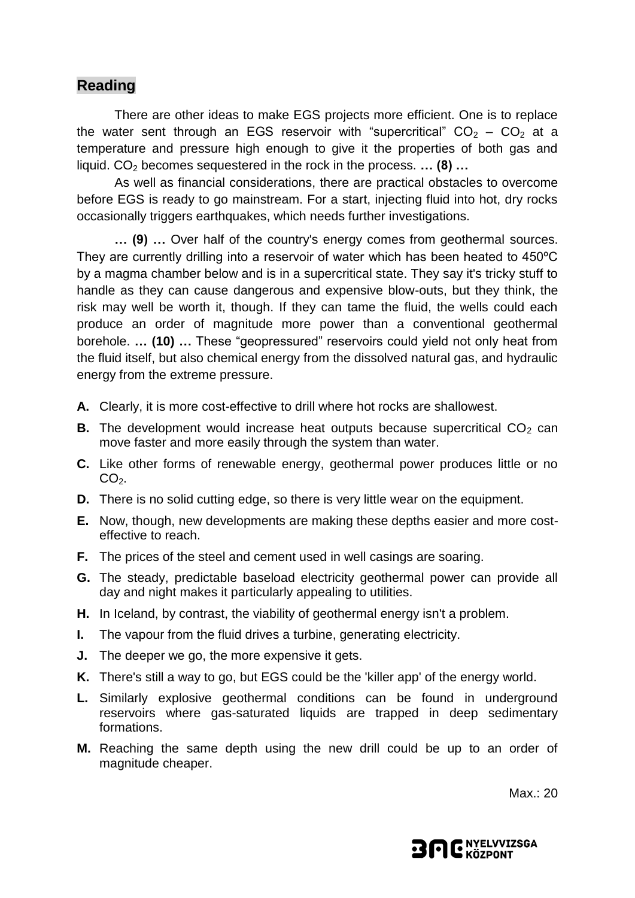There are other ideas to make EGS projects more efficient. One is to replace the water sent through an EGS reservoir with "supercritical"  $CO<sub>2</sub> - CO<sub>2</sub>$  at a temperature and pressure high enough to give it the properties of both gas and liquid. CO<sub>2</sub> becomes sequestered in the rock in the process. ... (8) ...

As well as financial considerations, there are practical obstacles to overcome before EGS is ready to go mainstream. For a start, injecting fluid into hot, dry rocks occasionally triggers earthquakes, which needs further investigations.

**… (9) …** Over half of the country's energy comes from geothermal sources. They are currently drilling into a reservoir of water which has been heated to 450ºC by a magma chamber below and is in a supercritical state. They say it's tricky stuff to handle as they can cause dangerous and expensive blow-outs, but they think, the risk may well be worth it, though. If they can tame the fluid, the wells could each produce an order of magnitude more power than a conventional geothermal borehole. **… (10) …** These "geopressured" reservoirs could yield not only heat from the fluid itself, but also chemical energy from the dissolved natural gas, and hydraulic energy from the extreme pressure.

- **A.** Clearly, it is more cost-effective to drill where hot rocks are shallowest.
- **B.** The development would increase heat outputs because supercritical  $CO<sub>2</sub>$  can move faster and more easily through the system than water.
- **C.** Like other forms of renewable energy, geothermal power produces little or no  $CO<sub>2</sub>$ .
- **D.** There is no solid cutting edge, so there is very little wear on the equipment.
- **E.** Now, though, new developments are making these depths easier and more costeffective to reach.
- **F.** The prices of the steel and cement used in well casings are soaring.
- **G.** The steady, predictable baseload electricity geothermal power can provide all day and night makes it particularly appealing to utilities.
- **H.** In Iceland, by contrast, the viability of geothermal energy isn't a problem.
- **I.** The vapour from the fluid drives a turbine, generating electricity.
- **J.** The deeper we go, the more expensive it gets.
- **K.** There's still a way to go, but EGS could be the 'killer app' of the energy world.
- **L.** Similarly explosive geothermal conditions can be found in underground reservoirs where gas-saturated liquids are trapped in deep sedimentary formations.
- **M.** Reaching the same depth using the new drill could be up to an order of magnitude cheaper.

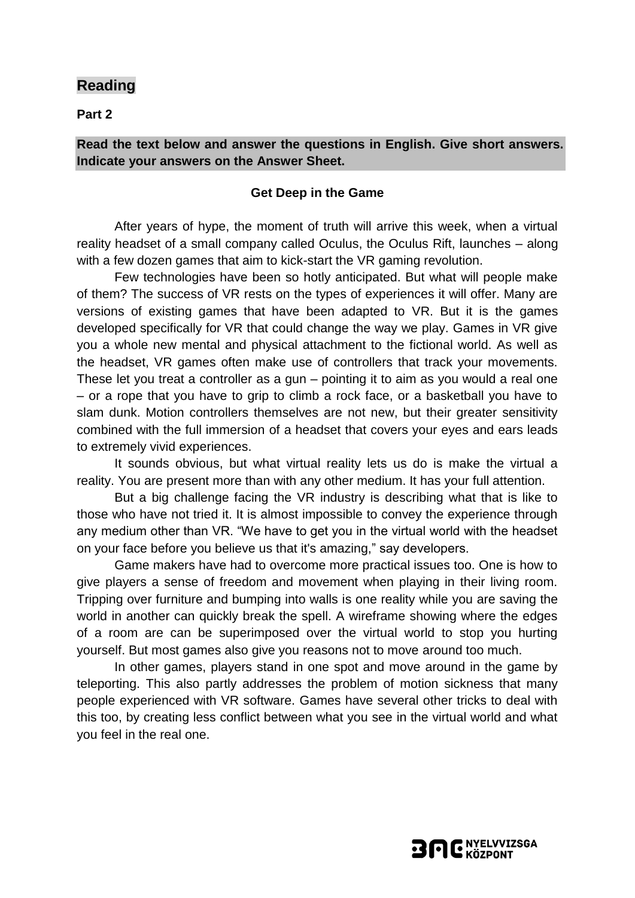**Part 2**

#### **Read the text below and answer the questions in English. Give short answers. Indicate your answers on the Answer Sheet.**

#### **Get Deep in the Game**

After years of hype, the moment of truth will arrive this week, when a virtual reality headset of a small company called Oculus, the Oculus Rift, launches – along with a few dozen games that aim to kick-start the VR gaming revolution.

Few technologies have been so hotly anticipated. But what will people make of them? The success of VR rests on the types of experiences it will offer. Many are versions of existing games that have been adapted to VR. But it is the games developed specifically for VR that could change the way we play. Games in VR give you a whole new mental and physical attachment to the fictional world. As well as the headset, VR games often make use of controllers that track your movements. These let you treat a controller as a gun – pointing it to aim as you would a real one – or a rope that you have to grip to climb a rock face, or a basketball you have to slam dunk. Motion controllers themselves are not new, but their greater sensitivity combined with the full immersion of a headset that covers your eyes and ears leads to extremely vivid experiences.

It sounds obvious, but what virtual reality lets us do is make the virtual a reality. You are present more than with any other medium. It has your full attention.

But a big challenge facing the VR industry is describing what that is like to those who have not tried it. It is almost impossible to convey the experience through any medium other than VR. "We have to get you in the virtual world with the headset on your face before you believe us that it's amazing," say developers.

Game makers have had to overcome more practical issues too. One is how to give players a sense of freedom and movement when playing in their living room. Tripping over furniture and bumping into walls is one reality while you are saving the world in another can quickly break the spell. A wireframe showing where the edges of a room are can be superimposed over the virtual world to stop you hurting yourself. But most games also give you reasons not to move around too much.

In other games, players stand in one spot and move around in the game by teleporting. This also partly addresses the problem of motion sickness that many people experienced with VR software. Games have several other tricks to deal with this too, by creating less conflict between what you see in the virtual world and what you feel in the real one.

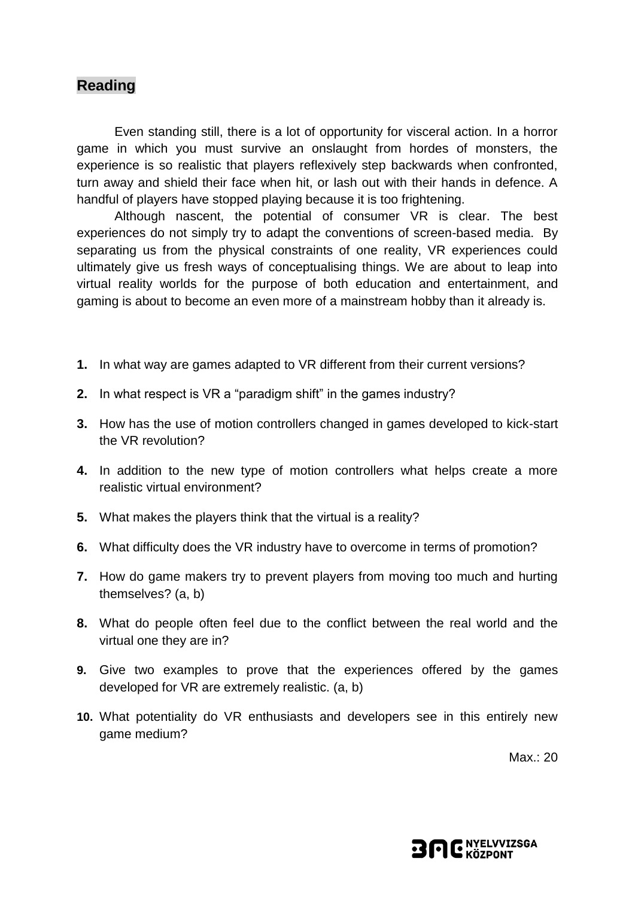Even standing still, there is a lot of opportunity for visceral action. In a horror game in which you must survive an onslaught from hordes of monsters, the experience is so realistic that players reflexively step backwards when confronted, turn away and shield their face when hit, or lash out with their hands in defence. A handful of players have stopped playing because it is too frightening.

Although nascent, the potential of consumer VR is clear. The best experiences do not simply try to adapt the conventions of screen-based media. By separating us from the physical constraints of one reality, VR experiences could ultimately give us fresh ways of conceptualising things. We are about to leap into virtual reality worlds for the purpose of both education and entertainment, and gaming is about to become an even more of a mainstream hobby than it already is.

- **1.** In what way are games adapted to VR different from their current versions?
- **2.** In what respect is VR a "paradigm shift" in the games industry?
- **3.** How has the use of motion controllers changed in games developed to kick-start the VR revolution?
- **4.** In addition to the new type of motion controllers what helps create a more realistic virtual environment?
- **5.** What makes the players think that the virtual is a reality?
- **6.** What difficulty does the VR industry have to overcome in terms of promotion?
- **7.** How do game makers try to prevent players from moving too much and hurting themselves? (a, b)
- **8.** What do people often feel due to the conflict between the real world and the virtual one they are in?
- **9.** Give two examples to prove that the experiences offered by the games developed for VR are extremely realistic. (a, b)
- **10.** What potentiality do VR enthusiasts and developers see in this entirely new game medium?

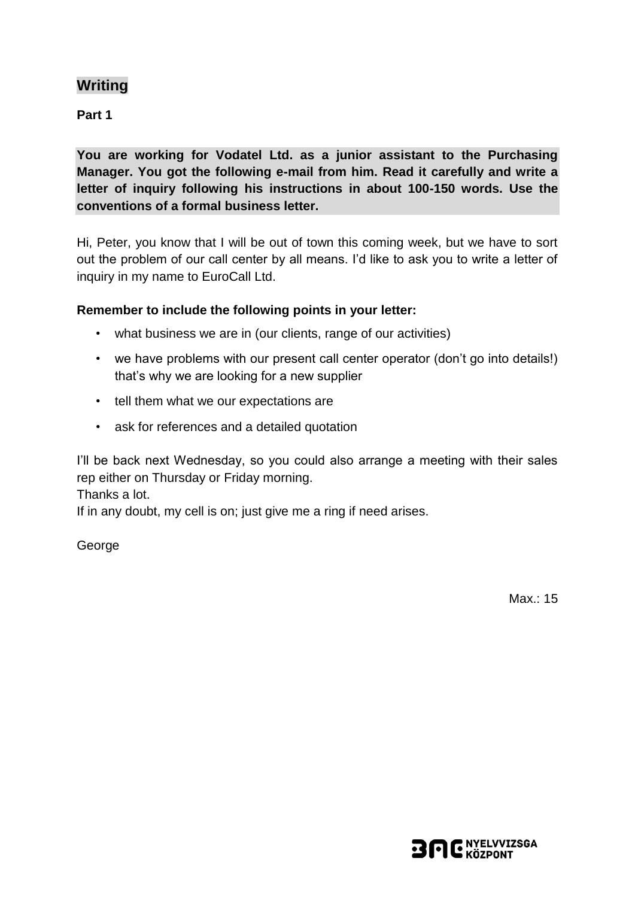# **Writing**

**Part 1**

**You are working for Vodatel Ltd. as a junior assistant to the Purchasing Manager. You got the following e-mail from him. Read it carefully and write a letter of inquiry following his instructions in about 100-150 words. Use the conventions of a formal business letter.**

Hi, Peter, you know that I will be out of town this coming week, but we have to sort out the problem of our call center by all means. I'd like to ask you to write a letter of inquiry in my name to EuroCall Ltd.

### **Remember to include the following points in your letter:**

- what business we are in (our clients, range of our activities)
- we have problems with our present call center operator (don't go into details!) that's why we are looking for a new supplier
- tell them what we our expectations are
- ask for references and a detailed quotation

I'll be back next Wednesday, so you could also arrange a meeting with their sales rep either on Thursday or Friday morning.

Thanks a lot.

If in any doubt, my cell is on; just give me a ring if need arises.

George